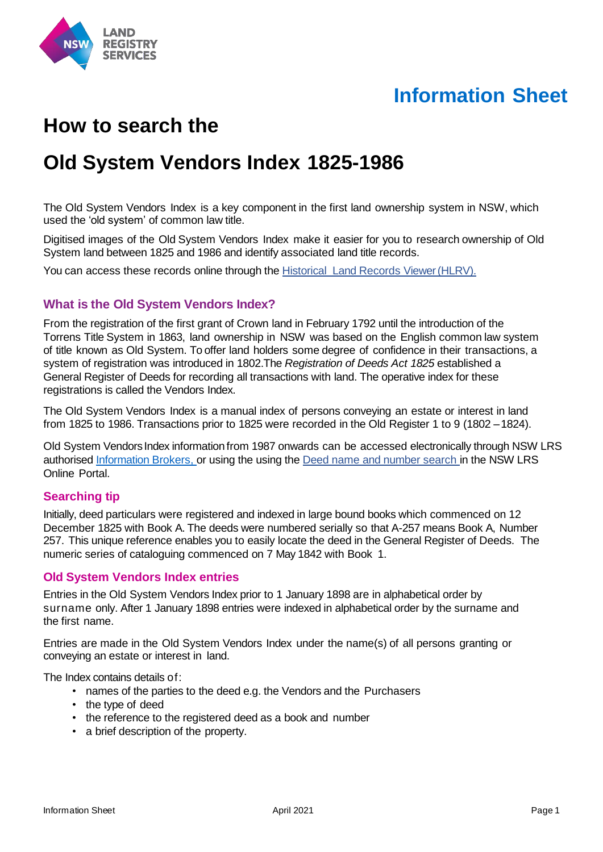

# **Information Sheet**

# **How to search the**

# **Old System Vendors Index 1825-1986**

The Old System Vendors Index is a key component in the first land ownership system in NSW, which used the 'old system' of common law title.

Digitised images of the Old System Vendors Index make it easier for you to research ownership of Old System land between 1825 and 1986 and identify associated land title records.

You can access these records online through the Historical Land Records Viewer (HLRV).

### **What is the Old System Vendors Index?**

From the registration of the first grant of Crown land in February 1792 until the introduction of the Torrens Title System in 1863, land ownership in NSW was based on the English common law system of title known as Old System. To offer land holders some degree of confidence in their transactions, a system of registration was introduced in 1802.The *Registration of Deeds Act 1825* established a General Register of Deeds for recording all transactions with land. The operative index for these registrations is called the Vendors Index.

The Old System Vendors Index is a manual index of persons conveying an estate or interest in land from 1825 to 1986. Transactions prior to 1825 were recorded in the Old Register 1 to 9 (1802 –1824).

Old System Vendors Index information from 1987 onwards can be accessed electronically through NSW LRS authorised [Information Brokers,](https://www.nswlrs.com.au/Information-Brokers) or using the using the [Deed name and number search i](https://online.nswlrs.com.au/wps/portal/six/find-records/!ut/p/z1/04_Sj9CPykssy0xPLMnMz0vMAfIjo8ziLQMMLQydLIy8DAwtLAwcvQOdTIKM3AwNLMz0w8EKnN0dPUzMfQwMDEwsjAw8XZw8XMwtfQ0MPM30o4jRj0cBSL8BDuBoANQfBVaCzwWEzCjIDY0wyHRUBAAB9Ddm/dz/d5/L2dBISEvZ0FBIS9nQSEh/)n the NSW LRS Online Portal.

### **Searching tip**

Initially, deed particulars were registered and indexed in large bound books which commenced on 12 December 1825 with Book A. The deeds were numbered serially so that A-257 means Book A, Number 257. This unique reference enables you to easily locate the deed in the General Register of Deeds. The numeric series of cataloguing commenced on 7 May 1842 with Book 1.

#### **Old System Vendors Index entries**

Entries in the Old System Vendors Index prior to 1 January 1898 are in alphabetical order by surname only. After 1 January 1898 entries were indexed in alphabetical order by the surname and the first name.

Entries are made in the Old System Vendors Index under the name(s) of all persons granting or conveying an estate or interest in land.

The Index contains details of:

- names of the parties to the deed e.g. the Vendors and the Purchasers
- the type of deed
- the reference to the registered deed as a book and number
- a brief description of the property.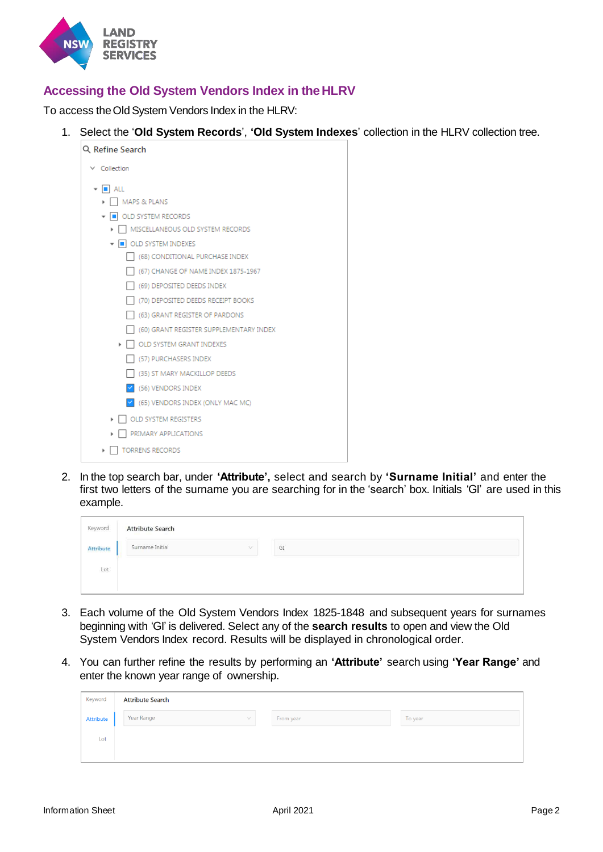

## **Accessing the Old System Vendors Index in theHLRV**

To access the Old System Vendors Index in the HLRV:

1. Select the '**Old System Records**', **'Old System Indexes**' collection in the HLRV collection tree.

| Q Refine Search                         |  |  |  |  |  |
|-----------------------------------------|--|--|--|--|--|
| $\times$ Collection                     |  |  |  |  |  |
| $\bullet$ $\blacksquare$ ALL            |  |  |  |  |  |
| <b>MAPS &amp; PLANS</b>                 |  |  |  |  |  |
| ▼   OLD SYSTEM RECORDS                  |  |  |  |  |  |
| MISCELLANEOUS OLD SYSTEM RECORDS        |  |  |  |  |  |
| ▼ ■ OLD SYSTEM INDEXES                  |  |  |  |  |  |
| (68) CONDITIONAL PURCHASE INDEX         |  |  |  |  |  |
| (67) CHANGE OF NAME INDEX 1875-1967     |  |  |  |  |  |
| (69) DEPOSITED DEEDS INDEX              |  |  |  |  |  |
| (70) DEPOSITED DEEDS RECEIPT BOOKS      |  |  |  |  |  |
| (63) GRANT REGISTER OF PARDONS          |  |  |  |  |  |
| (60) GRANT REGISTER SUPPLEMENTARY INDEX |  |  |  |  |  |
| OLD SYSTEM GRANT INDEXES                |  |  |  |  |  |
| (57) PURCHASERS INDEX                   |  |  |  |  |  |
| (35) ST MARY MACKILLOP DEEDS            |  |  |  |  |  |
| (56) VENDORS INDEX<br>M                 |  |  |  |  |  |
| (65) VENDORS INDEX (ONLY MAC MC)        |  |  |  |  |  |
| OLD SYSTEM REGISTERS                    |  |  |  |  |  |
| PRIMARY APPLICATIONS                    |  |  |  |  |  |
| <b>TORRENS RECORDS</b><br>Þ             |  |  |  |  |  |

2. In the top search bar, under **'Attribute',** select and search by **'Surname Initial'** and enter the first two letters of the surname you are searching for in the 'search' box. Initials 'GI' are used in this example.

| Keyword   | <b>Attribute Search</b><br><b>CONTRACTOR</b> CONTRACTOR |    |
|-----------|---------------------------------------------------------|----|
| Attribute | Surname Initial                                         | GI |
| Lot       |                                                         |    |
|           |                                                         |    |

- 3. Each volume of the Old System Vendors Index 1825-1848 and subsequent years for surnames beginning with 'GI' is delivered. Select any of the **search results** to open and view the Old System Vendors Index record. Results will be displayed in chronological order.
- 4. You can further refine the results by performing an **'Attribute'** search using **'Year Range'** and enter the known year range of ownership.

| Keyword          | <b>Attribute Search</b> |           |         |
|------------------|-------------------------|-----------|---------|
| <b>Attribute</b> | Year Range<br>$\vee$    | From year | To year |
| Lot              |                         |           |         |
|                  |                         |           |         |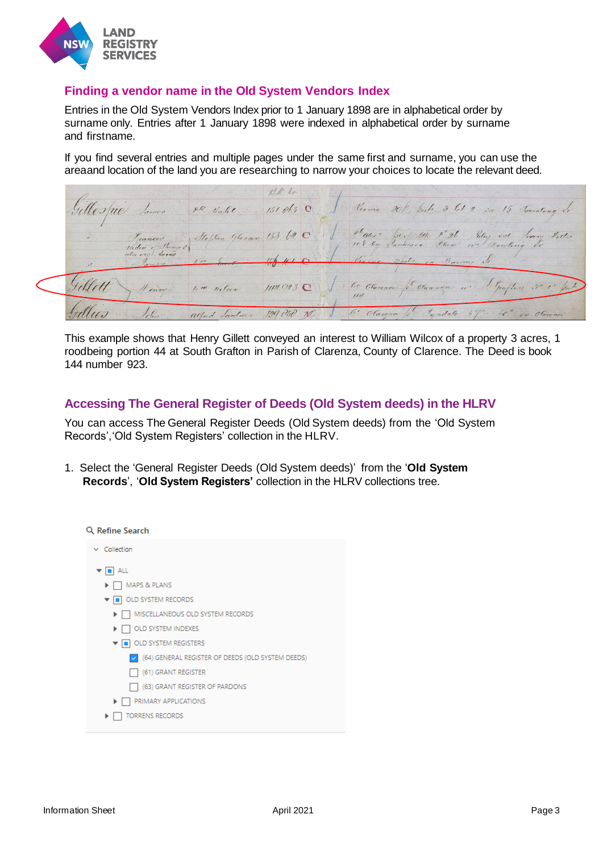

### **Finding a vendor name in the Old System Vendors Index**

Entries in the Old System Vendors Index prior to 1 January 1898 are in alphabetical order by surname only. Entries after 1 January 1898 were indexed in alphabetical order by surname and firstname.

If you find several entries and multiple pages under the same first and surname, you can use the areaand location of the land you are researching to narrow your choices to locate the relevant deed.

Si diama 20 bits 3 61 2 20 15 Torratons de FR Vale 151.063 0 phater" Letter Glazoon 153. 60 C be of Beh I 26 Relay out larry Place my Dowling 4 ency  $114193C$ ndale  $\mu$ 129.050  $M$ Clau

This example shows that Henry Gillett conveyed an interest to William Wilcox of a property 3 acres, 1 roodbeing portion 44 at South Grafton in Parish of Clarenza, County of Clarence. The Deed is book 144 number 923.

## **Accessing The General Register of Deeds (Old System deeds) in the HLRV**

You can access The General Register Deeds (Old System deeds) from the 'Old System Records','Old System Registers' collection in the HLRV.

1. Select the 'General Register Deeds (Old System deeds)' from the '**Old System Records**', '**Old System Registers'** collection in the HLRV collections tree.